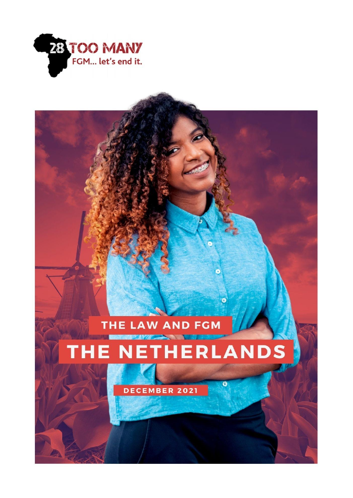

THE LAW AND FGM

# THE NETHERLANDS

ø

 $\alpha$ 

DECEMBER 2021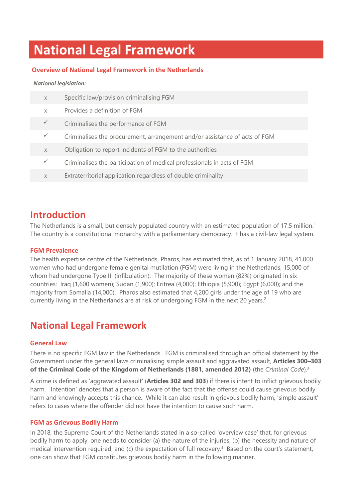# **National Legal Framework**

### **Overview of National Legal Framework in the Netherlands**

#### *National legislation:*

| $\times$ | Specific law/provision criminalising FGM                                   |
|----------|----------------------------------------------------------------------------|
| $\times$ | Provides a definition of FGM                                               |
|          | Criminalises the performance of FGM                                        |
|          | Criminalises the procurement, arrangement and/or assistance of acts of FGM |
| $\times$ | Obligation to report incidents of FGM to the authorities                   |
|          | Criminalises the participation of medical professionals in acts of FGM     |
| $\times$ | Extraterritorial application regardless of double criminality              |
|          |                                                                            |

### **Introduction**

The Netherlands is a small, but densely populated country with an estimated population of 17.5 million.<sup>1</sup> The country is a constitutional monarchy with a parliamentary democracy. It has a civil-law legal system.

### **FGM Prevalence**

The health expertise centre of the Netherlands, Pharos, has estimated that, as of 1 January 2018, 41,000 women who had undergone female genital mutilation (FGM) were living in the Netherlands, 15,000 of whom had undergone Type III (infibulation). The majority of these women (82%) originated in six countries: Iraq (1,600 women); Sudan (1,900); Eritrea (4,000); Ethiopia (5,900); Egypt (6,000); and the majority from Somalia (14,000). Pharos also estimated that 4,200 girls under the age of 19 who are currently living in the Netherlands are at risk of undergoing FGM in the next 20 years.<sup>2</sup>

### **National Legal Framework**

#### **General Law**

There is no specific FGM law in the Netherlands. FGM is criminalised through an official statement by the Government under the general laws criminalising simple assault and aggravated assault, **Articles 300–303 of the Criminal Code of the Kingdom of Netherlands (1881, amended 2012)** (the *Criminal Code*).<sup>3</sup>

A crime is defined as 'aggravated assault' (**Articles 302 and 303**) if there is intent to inflict grievous bodily harm. 'Intention' denotes that a person is aware of the fact that the offense could cause grievous bodily harm and knowingly accepts this chance. While it can also result in grievous bodily harm, 'simple assault' refers to cases where the offender did not have the intention to cause such harm.

### **FGM as Grievous Bodily Harm**

In 2018, the Supreme Court of the Netherlands stated in a so-called 'overview case' that, for grievous bodily harm to apply, one needs to consider (a) the nature of the injuries; (b) the necessity and nature of medical intervention required; and (c) the expectation of full recovery.<sup>4</sup> Based on the court's statement, one can show that FGM constitutes grievous bodily harm in the following manner.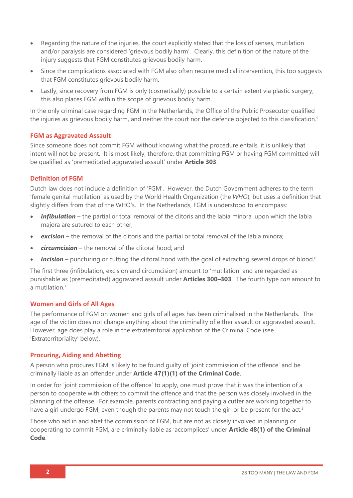- Regarding the nature of the injuries, the court explicitly stated that the loss of senses, mutilation and/or paralysis are considered 'grievous bodily harm'. Clearly, this definition of the nature of the injury suggests that FGM constitutes grievous bodily harm.
- Since the complications associated with FGM also often require medical intervention, this too suggests that FGM constitutes grievous bodily harm.
- Lastly, since recovery from FGM is only (cosmetically) possible to a certain extent via plastic surgery, this also places FGM within the scope of grievous bodily harm.

In the only criminal case regarding FGM in the Netherlands, the Office of the Public Prosecutor qualified the injuries as grievous bodily harm, and neither the court nor the defence objected to this classification.<sup>5</sup>

### **FGM as Aggravated Assault**

Since someone does not commit FGM without knowing what the procedure entails, it is unlikely that intent will not be present. It is most likely, therefore, that committing FGM or having FGM committed will be qualified as 'premeditated aggravated assault' under **Article 303**.

### **Definition of FGM**

Dutch law does not include a definition of 'FGM'. However, the Dutch Government adheres to the term 'female genital mutilation' as used by the World Health Organization (the *WHO*), but uses a definition that slightly differs from that of the WHO's. In the Netherlands, FGM is understood to encompass:

- *infibulation* the partial or total removal of the clitoris and the labia minora, upon which the labia majora are sutured to each other;
- *excision* the removal of the clitoris and the partial or total removal of the labia minora;
- *circumcision* the removal of the clitoral hood; and
- *incision* puncturing or cutting the clitoral hood with the goal of extracting several drops of blood.<sup>6</sup>

The first three (infibulation, excision and circumcision) amount to 'mutilation' and are regarded as punishable as (premeditated) aggravated assault under **Articles 300–303**. The fourth type *can* amount to a mutilation.<sup>7</sup>

#### **Women and Girls of All Ages**

The performance of FGM on women and girls of all ages has been criminalised in the Netherlands. The age of the victim does not change anything about the criminality of either assault or aggravated assault. However, age does play a role in the extraterritorial application of the Criminal Code (see 'Extraterritoriality' below).

### **Procuring, Aiding and Abetting**

A person who procures FGM is likely to be found guilty of 'joint commission of the offence' and be criminally liable as an offender under **Article 47(1)(1) of the Criminal Code**.

In order for 'joint commission of the offence' to apply, one must prove that it was the intention of a person to cooperate with others to commit the offence and that the person was closely involved in the planning of the offense. For example, parents contracting and paying a cutter are working together to have a girl undergo FGM, even though the parents may not touch the girl or be present for the act.<sup>8</sup>

Those who aid in and abet the commission of FGM, but are not as closely involved in planning or cooperating to commit FGM, are criminally liable as 'accomplices' under **Article 48(1) of the Criminal Code**.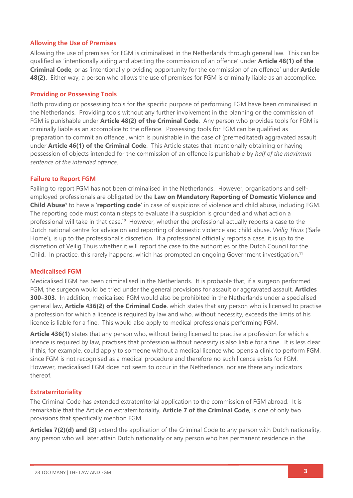### **Allowing the Use of Premises**

Allowing the use of premises for FGM is criminalised in the Netherlands through general law. This can be qualified as 'intentionally aiding and abetting the commission of an offence' under **Article 48(1) of the Criminal Code**, or as 'intentionally providing opportunity for the commission of an offence' under **Article 48(2)**. Either way, a person who allows the use of premises for FGM is criminally liable as an accomplice.

### **Providing or Possessing Tools**

Both providing or possessing tools for the specific purpose of performing FGM have been criminalised in the Netherlands. Providing tools without any further involvement in the planning or the commission of FGM is punishable under **Article 48(2) of the Criminal Code**. Any person who provides tools for FGM is criminally liable as an accomplice to the offence. Possessing tools for FGM can be qualified as 'preparation to commit an offence', which is punishable in the case of (premeditated) aggravated assault under **Article 46(1) of the Criminal Code**. This Article states that intentionally obtaining or having possession of objects intended for the commission of an offence is punishable by *half of the maximum sentence of the intended offence*.

### **Failure to Report FGM**

Failing to report FGM has not been criminalised in the Netherlands. However, organisations and selfemployed professionals are obligated by the **Law on Mandatory Reporting of Domestic Violence and Child Abuse**<sup>9</sup> to have a '**reporting code**' in case of suspicions of violence and child abuse, including FGM. The reporting code must contain steps to evaluate if a suspicion is grounded and what action a professional will take in that case.<sup>10</sup> However, whether the professional actually reports a case to the Dutch national centre for advice on and reporting of domestic violence and child abuse, *Veilig Thuis* ('Safe Home'), is up to the professional's discretion. If a professional officially reports a case, it is up to the discretion of Veilig Thuis whether it will report the case to the authorities or the Dutch Council for the Child. In practice, this rarely happens, which has prompted an ongoing Government investigation.<sup>11</sup>

### **Medicalised FGM**

Medicalised FGM has been criminalised in the Netherlands. It is probable that, if a surgeon performed FGM, the surgeon would be tried under the general provisions for assault or aggravated assault, **Articles 300–303**. In addition, medicalised FGM would also be prohibited in the Netherlands under a specialised general law, **Article 436(2) of the Criminal Code**, which states that any person who is licensed to practise a profession for which a licence is required by law and who, without necessity, exceeds the limits of his licence is liable for a fine. This would also apply to medical professionals performing FGM.

**Article 436(1)** states that any person who, without being licensed to practise a profession for which a licence is required by law, practises that profession without necessity is also liable for a fine. It is less clear if this, for example, could apply to someone without a medical licence who opens a clinic to perform FGM, since FGM is not recognised as a medical procedure and therefore no such licence exists for FGM. However, medicalised FGM does not seem to occur in the Netherlands, nor are there any indicators thereof.

### **Extraterritoriality**

The Criminal Code has extended extraterritorial application to the commission of FGM abroad. It is remarkable that the Article on extraterritoriality, **Article 7 of the Criminal Code**, is one of only two provisions that specifically mention FGM.

**Articles 7(2)(d) and (3)** extend the application of the Criminal Code to any person with Dutch nationality, any person who will later attain Dutch nationality or any person who has permanent residence in the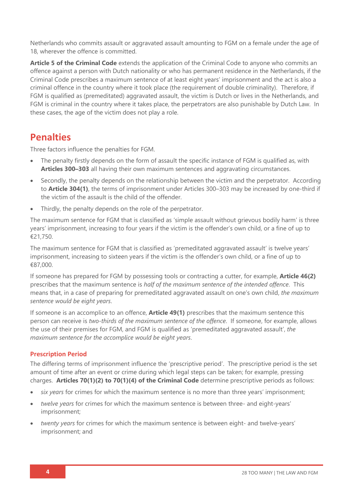Netherlands who commits assault or aggravated assault amounting to FGM on a female under the age of 18, wherever the offence is committed.

**Article 5 of the Criminal Code** extends the application of the Criminal Code to anyone who commits an offence against a person with Dutch nationality or who has permanent residence in the Netherlands, if the Criminal Code prescribes a maximum sentence of at least eight years' imprisonment and the act is also a criminal offence in the country where it took place (the requirement of double criminality). Therefore, if FGM is qualified as (premeditated) aggravated assault, the victim is Dutch or lives in the Netherlands, and FGM is criminal in the country where it takes place, the perpetrators are also punishable by Dutch Law. In these cases, the age of the victim does not play a role.

### **Penalties**

Three factors influence the penalties for FGM.

- The penalty firstly depends on the form of assault the specific instance of FGM is qualified as, with **Articles 300–303** all having their own maximum sentences and aggravating circumstances.
- Secondly, the penalty depends on the relationship between the victim and the perpetrator. According to **Article 304(1)**, the terms of imprisonment under Articles 300–303 may be increased by one-third if the victim of the assault is the child of the offender.
- Thirdly, the penalty depends on the role of the perpetrator.

The maximum sentence for FGM that is classified as 'simple assault without grievous bodily harm' is three years' imprisonment, increasing to four years if the victim is the offender's own child, or a fine of up to €21,750.

The maximum sentence for FGM that is classified as 'premeditated aggravated assault' is twelve years' imprisonment, increasing to sixteen years if the victim is the offender's own child, or a fine of up to €87,000.

If someone has prepared for FGM by possessing tools or contracting a cutter, for example, **Article 46(2)** prescribes that the maximum sentence is *half of the maximum sentence of the intended offence*. This means that, in a case of preparing for premeditated aggravated assault on one's own child, *the maximum sentence would be eight years*.

If someone is an accomplice to an offence, **Article 49(1)** prescribes that the maximum sentence this person can receive is *two-thirds of the maximum sentence of the offence*. If someone, for example, allows the use of their premises for FGM, and FGM is qualified as 'premeditated aggravated assault', *the maximum sentence for the accomplice would be eight years*.

### **Prescription Period**

The differing terms of imprisonment influence the 'prescriptive period'. The prescriptive period is the set amount of time after an event or crime during which legal steps can be taken; for example, pressing charges. **Articles 70(1)(2) to 70(1)(4) of the Criminal Code** determine prescriptive periods as follows:

- *six years* for crimes for which the maximum sentence is no more than three years' imprisonment;
- *twelve years* for crimes for which the maximum sentence is between three- and eight-years' imprisonment;
- *twenty years* for crimes for which the maximum sentence is between eight- and twelve-years' imprisonment; and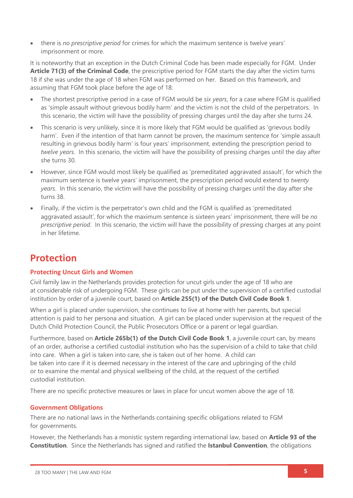• there is *no prescriptive period* for crimes for which the maximum sentence is twelve years' imprisonment or more.

It is noteworthy that an exception in the Dutch Criminal Code has been made especially for FGM. Under **Article 71(3) of the Criminal Code**, the prescriptive period for FGM starts the day after the victim turns 18 if she was under the age of 18 when FGM was performed on her. Based on this framework, and assuming that FGM took place before the age of 18:

- The shortest prescriptive period in a case of FGM would be *six years*, for a case where FGM is qualified as 'simple assault without grievous bodily harm' and the victim is not the child of the perpetrators. In this scenario, the victim will have the possibility of pressing charges until the day after she turns 24.
- This scenario is very unlikely, since it is more likely that FGM would be qualified as 'grievous bodily harm'. Even if the intention of that harm cannot be proven, the maximum sentence for 'simple assault resulting in grievous bodily harm' is four years' imprisonment, extending the prescription period to *twelve years*. In this scenario, the victim will have the possibility of pressing charges until the day after she turns 30.
- However, since FGM would most likely be qualified as 'premeditated aggravated assault', for which the maximum sentence is twelve years' imprisonment, the prescription period would extend to *twenty years*. In this scenario, the victim will have the possibility of pressing charges until the day after she turns 38.
- Finally, if the victim is the perpetrator's own child and the FGM is qualified as 'premeditated aggravated assault', for which the maximum sentence is sixteen years' imprisonment, there will be *no prescriptive period*. In this scenario, the victim will have the possibility of pressing charges at any point in her lifetime.

### **Protection**

### **Protecting Uncut Girls and Women**

Civil family law in the Netherlands provides protection for uncut girls under the age of 18 who are at considerable risk of undergoing FGM. These girls can be put under the supervision of a certified custodial institution by order of a juvenile court, based on **Article 255(1) of the Dutch Civil Code Book 1**.

When a girl is placed under supervision, she continues to live at home with her parents, but special attention is paid to her persona and situation. A girl can be placed under supervision at the request of the Dutch Child Protection Council, the Public Prosecutors Office or a parent or legal guardian.

Furthermore, based on **Article 265b(1) of the Dutch Civil Code Book 1**, a juvenile court can, by means of an order, authorise a certified custodial institution who has the supervision of a child to take that child into care. When a girl is taken into care, she is taken out of her home. A child can be taken into care if it is deemed necessary in the interest of the care and upbringing of the child or to examine the mental and physical wellbeing of the child, at the request of the certified custodial institution.

There are no specific protective measures or laws in place for uncut women above the age of 18.

### **Government Obligations**

There are no national laws in the Netherlands containing specific obligations related to FGM for governments.

However, the Netherlands has a monistic system regarding international law, based on **Article 93 of the Constitution**. Since the Netherlands has signed and ratified the **Istanbul Convention**, the obligations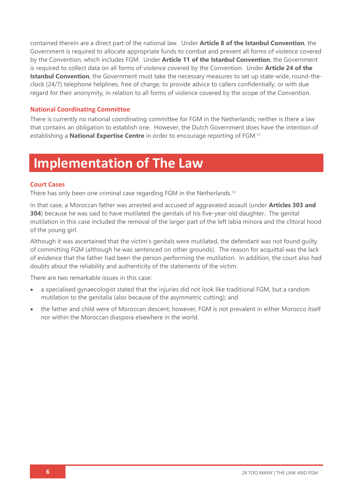contained therein are a direct part of the national law. Under **Article 8 of the Istanbul Convention**, the Government is required to allocate appropriate funds to combat and prevent all forms of violence covered by the Convention, which includes FGM. Under **Article 11 of the Istanbul Convention**, the Government is required to collect data on all forms of violence covered by the Convention. Under **Article 24 of the Istanbul Convention**, the Government must take the necessary measures to set up state-wide, round-theclock (24/7) telephone helplines, free of charge, to provide advice to callers confidentially, or with due regard for their anonymity, in relation to all forms of violence covered by the scope of the Convention.

### **National Coordinating Committee**

There is currently no national coordinating committee for FGM in the Netherlands; neither is there a law that contains an obligation to establish one. However, the Dutch Government does have the intention of establishing a **National Expertise Centre** in order to encourage reporting of FGM. 12

# **Implementation of The Law**

#### **Court Cases**

There has only been one criminal case regarding FGM in the Netherlands.<sup>13</sup>

In that case, a Moroccan father was arrested and accused of aggravated assault (under **Articles 303 and 304**) because he was said to have mutilated the genitals of his five-year-old daughter. The genital mutilation in this case included the removal of the larger part of the left labia minora and the clitoral hood of the young girl.

Although it was ascertained that the victim's genitals were mutilated, the defendant was not found guilty of committing FGM (although he was sentenced on other grounds). The reason for acquittal was the lack of evidence that the father had been the person performing the mutilation. In addition, the court also had doubts about the reliability and authenticity of the statements of the victim.

There are two remarkable issues in this case:

- a specialised gynaecologist stated that the injuries did not look like traditional FGM, but a random mutilation to the genitalia (also because of the asymmetric cutting); and
- the father and child were of Moroccan descent; however, FGM is not prevalent in either Morocco itself nor within the Moroccan diaspora elsewhere in the world.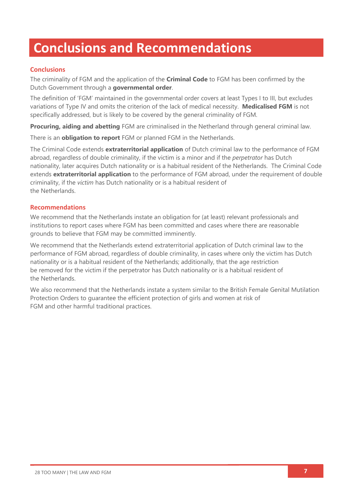# **Conclusions and Recommendations**

### **Conclusions**

The criminality of FGM and the application of the **Criminal Code** to FGM has been confirmed by the Dutch Government through a **governmental order**.

The definition of 'FGM' maintained in the governmental order covers at least Types I to III, but excludes variations of Type IV and omits the criterion of the lack of medical necessity. **Medicalised FGM** is not specifically addressed, but is likely to be covered by the general criminality of FGM.

**Procuring, aiding and abetting** FGM are criminalised in the Netherland through general criminal law.

There is an **obligation to report** FGM or planned FGM in the Netherlands.

The Criminal Code extends **extraterritorial application** of Dutch criminal law to the performance of FGM abroad, regardless of double criminality, if the victim is a minor and if the *perpetrator* has Dutch nationality, later acquires Dutch nationality or is a habitual resident of the Netherlands. The Criminal Code extends **extraterritorial application** to the performance of FGM abroad, under the requirement of double criminality, if the *victim* has Dutch nationality or is a habitual resident of the Netherlands.

### **Recommendations**

We recommend that the Netherlands instate an obligation for (at least) relevant professionals and institutions to report cases where FGM has been committed and cases where there are reasonable grounds to believe that FGM may be committed imminently.

We recommend that the Netherlands extend extraterritorial application of Dutch criminal law to the performance of FGM abroad, regardless of double criminality, in cases where only the victim has Dutch nationality or is a habitual resident of the Netherlands; additionally, that the age restriction be removed for the victim if the perpetrator has Dutch nationality or is a habitual resident of the Netherlands.

We also recommend that the Netherlands instate a system similar to the British Female Genital Mutilation Protection Orders to guarantee the efficient protection of girls and women at risk of FGM and other harmful traditional practices.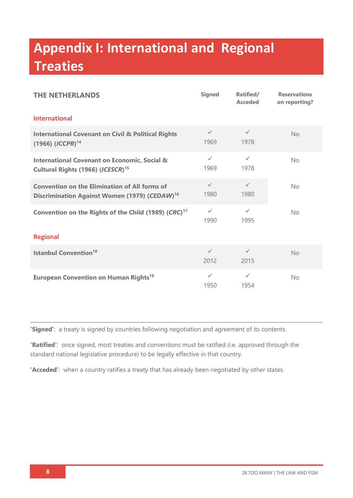# **Appendix I: International and Regional Treaties**

| <b>THE NETHERLANDS</b>                                                                                            | <b>Signed</b>        | Ratified/<br><b>Acceded</b> | <b>Reservations</b><br>on reporting? |  |
|-------------------------------------------------------------------------------------------------------------------|----------------------|-----------------------------|--------------------------------------|--|
| <b>International</b>                                                                                              |                      |                             |                                      |  |
| <b>International Covenant on Civil &amp; Political Rights</b><br>$(1966)$ $(ICCPR)^{14}$                          | $\checkmark$<br>1969 | $\checkmark$<br>1978        | No                                   |  |
| <b>International Covenant on Economic, Social &amp;</b><br>Cultural Rights (1966) (ICESCR) <sup>15</sup>          | $\checkmark$<br>1969 | $\checkmark$<br>1978        | No                                   |  |
| <b>Convention on the Elimination of All forms of</b><br>Discrimination Against Women (1979) (CEDAW) <sup>16</sup> | $\checkmark$<br>1980 | $\checkmark$<br>1980        | No                                   |  |
| Convention on the Rights of the Child (1989) (CRC) <sup>17</sup>                                                  | $\checkmark$<br>1990 | $\checkmark$<br>1995        | No                                   |  |
| <b>Regional</b>                                                                                                   |                      |                             |                                      |  |
| <b>Istanbul Convention<sup>18</sup></b>                                                                           | $\checkmark$<br>2012 | $\checkmark$<br>2015        | <b>No</b>                            |  |
| <b>European Convention on Human Rights<sup>19</sup></b>                                                           | $\checkmark$<br>1950 | $\checkmark$<br>1954        | <b>No</b>                            |  |

**'Signed'**: a treaty is signed by countries following negotiation and agreement of its contents.

**'Ratified'**: once signed, most treaties and conventions must be ratified (i.e. approved through the standard national legislative procedure) to be legally effective in that country.

**'Acceded'**: when a country ratifies a treaty that has already been negotiated by other states.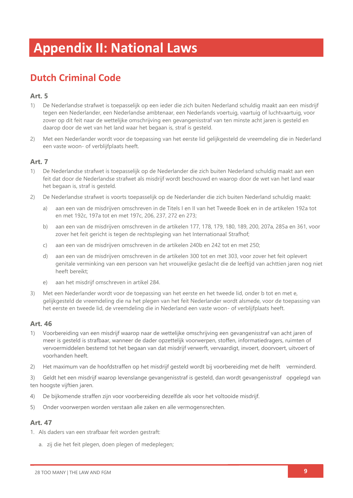# **Appendix II: National Laws**

# **Dutch Criminal Code**

### **Art. 5**

- 1) De Nederlandse strafwet is toepasselijk op een ieder die zich buiten Nederland schuldig maakt aan een misdrijf tegen een Nederlander, een Nederlandse ambtenaar, een Nederlands voertuig, vaartuig of luchtvaartuig, voor zover op dit feit naar de wettelijke omschrijving een gevangenisstraf van ten minste acht jaren is gesteld en daarop door de wet van het land waar het begaan is, straf is gesteld.
- 2) Met een Nederlander wordt voor de toepassing van het eerste lid gelijkgesteld de vreemdeling die in Nederland een vaste woon- of verblijfplaats heeft.

### **Art. 7**

- 1) De Nederlandse strafwet is toepasselijk op de Nederlander die zich buiten Nederland schuldig maakt aan een feit dat door de Nederlandse strafwet als misdrijf wordt beschouwd en waarop door de wet van het land waar het begaan is, straf is gesteld.
- 2) De Nederlandse strafwet is voorts toepasselijk op de Nederlander die zich buiten Nederland schuldig maakt:
	- a) aan een van de misdrijven omschreven in de Titels I en II van het Tweede Boek en in de artikelen 192a tot en met 192c, 197a tot en met 197c, 206, 237, 272 en 273;
	- b) aan een van de misdrijven omschreven in de artikelen 177, 178, 179, 180, 189, 200, 207a, 285a en 361, voor zover het feit gericht is tegen de rechtspleging van het Internationaal Strafhof;
	- c) aan een van de misdrijven omschreven in de artikelen 240b en 242 tot en met 250;
	- d) aan een van de misdrijven omschreven in de artikelen 300 tot en met 303, voor zover het feit oplevert genitale verminking van een persoon van het vrouwelijke geslacht die de leeftijd van achttien jaren nog niet heeft bereikt;
	- e) aan het misdrijf omschreven in artikel 284.
- 3) Met een Nederlander wordt voor de toepassing van het eerste en het tweede lid, onder b tot en met e, gelijkgesteld de vreemdeling die na het plegen van het feit Nederlander wordt alsmede, voor de toepassing van het eerste en tweede lid, de vreemdeling die in Nederland een vaste woon- of verblijfplaats heeft.

### **Art. 46**

- 1) Voorbereiding van een misdrijf waarop naar de wettelijke omschrijving een gevangenisstraf van acht jaren of meer is gesteld is strafbaar, wanneer de dader opzettelijk voorwerpen, stoffen, informatiedragers, ruimten of vervoermiddelen bestemd tot het begaan van dat misdrijf verwerft, vervaardigt, invoert, doorvoert, uitvoert of voorhanden heeft.
- 2) Het maximum van de hoofdstraffen op het misdrijf gesteld wordt bij voorbereiding met de helft verminderd.

3) Geldt het een misdrijf waarop levenslange gevangenisstraf is gesteld, dan wordt gevangenisstraf opgelegd van ten hoogste vijftien jaren.

- 4) De bijkomende straffen zijn voor voorbereiding dezelfde als voor het voltooide misdrijf.
- 5) Onder voorwerpen worden verstaan alle zaken en alle vermogensrechten.

### **Art. 47**

- 1. Als daders van een strafbaar feit worden gestraft:
	- a. zij die het feit plegen, doen plegen of medeplegen;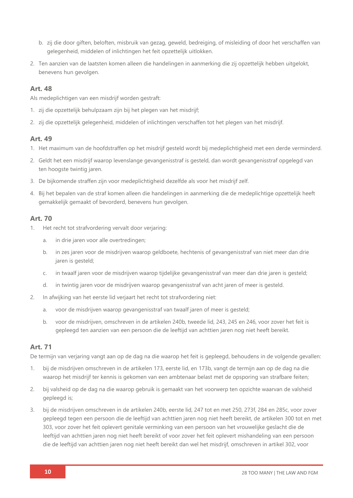- b. zij die door giften, beloften, misbruik van gezag, geweld, bedreiging, of misleiding of door het verschaffen van gelegenheid, middelen of inlichtingen het feit opzettelijk uitlokken.
- 2. Ten aanzien van de laatsten komen alleen die handelingen in aanmerking die zij opzettelijk hebben uitgelokt, benevens hun gevolgen.

### **Art. 48**

Als medeplichtigen van een misdrijf worden gestraft:

- 1. zij die opzettelijk behulpzaam zijn bij het plegen van het misdrijf;
- 2. zij die opzettelijk gelegenheid, middelen of inlichtingen verschaffen tot het plegen van het misdrijf.

### **Art. 49**

- 1. Het maximum van de hoofdstraffen op het misdrijf gesteld wordt bij medeplichtigheid met een derde verminderd.
- 2. Geldt het een misdrijf waarop levenslange gevangenisstraf is gesteld, dan wordt gevangenisstraf opgelegd van ten hoogste twintig jaren.
- 3. De bijkomende straffen zijn voor medeplichtigheid dezelfde als voor het misdrijf zelf.
- 4. Bij het bepalen van de straf komen alleen die handelingen in aanmerking die de medeplichtige opzettelijk heeft gemakkelijk gemaakt of bevorderd, benevens hun gevolgen.

### **Art. 70**

- 1. Het recht tot strafvordering vervalt door verjaring:
	- a. in drie jaren voor alle overtredingen;
	- b. in zes jaren voor de misdrijven waarop geldboete, hechtenis of gevangenisstraf van niet meer dan drie jaren is gesteld;
	- c. in twaalf jaren voor de misdrijven waarop tijdelijke gevangenisstraf van meer dan drie jaren is gesteld;
	- d. in twintig jaren voor de misdrijven waarop gevangenisstraf van acht jaren of meer is gesteld.
- 2. In afwijking van het eerste lid verjaart het recht tot strafvordering niet:
	- a. voor de misdrijven waarop gevangenisstraf van twaalf jaren of meer is gesteld;
	- b. voor de misdrijven, omschreven in de artikelen 240b, tweede lid, 243, 245 en 246, voor zover het feit is gepleegd ten aanzien van een persoon die de leeftijd van achttien jaren nog niet heeft bereikt.

### **Art. 71**

De termijn van verjaring vangt aan op de dag na die waarop het feit is gepleegd, behoudens in de volgende gevallen:

- 1. bij de misdrijven omschreven in de artikelen 173, eerste lid, en 173b, vangt de termijn aan op de dag na die waarop het misdrijf ter kennis is gekomen van een ambtenaar belast met de opsporing van strafbare feiten;
- 2. bij valsheid op de dag na die waarop gebruik is gemaakt van het voorwerp ten opzichte waarvan de valsheid gepleegd is;
- 3. bij de misdrijven omschreven in de artikelen 240b, eerste lid, 247 tot en met 250, 273f, 284 en 285c, voor zover gepleegd tegen een persoon die de leeftijd van achttien jaren nog niet heeft bereikt, de artikelen 300 tot en met 303, voor zover het feit oplevert genitale verminking van een persoon van het vrouwelijke geslacht die de leeftijd van achttien jaren nog niet heeft bereikt of voor zover het feit oplevert mishandeling van een persoon die de leeftijd van achttien jaren nog niet heeft bereikt dan wel het misdrijf, omschreven in artikel 302, voor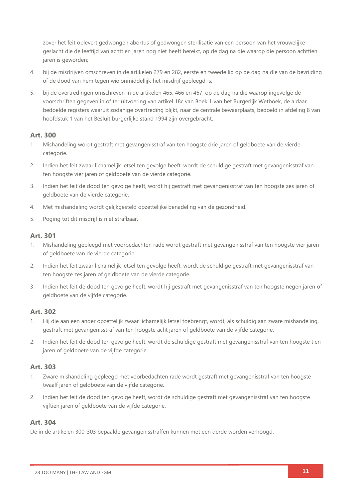zover het feit oplevert gedwongen abortus of gedwongen sterilisatie van een persoon van het vrouwelijke geslacht die de leeftijd van achttien jaren nog niet heeft bereikt, op de dag na die waarop die persoon achttien jaren is geworden;

- 4. bij de misdrijven omschreven in de artikelen 279 en 282, eerste en tweede lid op de dag na die van de bevrijding of de dood van hem tegen wie onmiddellijk het misdrijf gepleegd is;
- 5. bij de overtredingen omschreven in de artikelen 465, 466 en 467, op de dag na die waarop ingevolge de voorschriften gegeven in of ter uitvoering van artikel 18c van Boek 1 van het Burgerlijk Wetboek, de aldaar bedoelde registers waaruit zodanige overtreding blijkt, naar de centrale bewaarplaats, bedoeld in afdeling 8 van hoofdstuk 1 van het Besluit burgerlijke stand 1994 zijn overgebracht.

### **Art. 300**

- 1. Mishandeling wordt gestraft met gevangenisstraf van ten hoogste drie jaren of geldboete van de vierde categorie.
- 2. Indien het feit zwaar lichamelijk letsel ten gevolge heeft, wordt de schuldige gestraft met gevangenisstraf van ten hoogste vier jaren of geldboete van de vierde categorie.
- 3. Indien het feit de dood ten gevolge heeft, wordt hij gestraft met gevangenisstraf van ten hoogste zes jaren of geldboete van de vierde categorie.
- 4. Met mishandeling wordt gelijkgesteld opzettelijke benadeling van de gezondheid.
- 5. Poging tot dit misdrijf is niet strafbaar.

### **Art. 301**

- 1. Mishandeling gepleegd met voorbedachten rade wordt gestraft met gevangenisstraf van ten hoogste vier jaren of geldboete van de vierde categorie.
- 2. Indien het feit zwaar lichamelijk letsel ten gevolge heeft, wordt de schuldige gestraft met gevangenisstraf van ten hoogste zes jaren of geldboete van de vierde categorie.
- 3. Indien het feit de dood ten gevolge heeft, wordt hij gestraft met gevangenisstraf van ten hoogste negen jaren of geldboete van de vijfde categorie.

### **Art. 302**

- 1. Hij die aan een ander opzettelijk zwaar lichamelijk letsel toebrengt, wordt, als schuldig aan zware mishandeling, gestraft met gevangenisstraf van ten hoogste acht jaren of geldboete van de vijfde categorie.
- 2. Indien het feit de dood ten gevolge heeft, wordt de schuldige gestraft met gevangenisstraf van ten hoogste tien jaren of geldboete van de vijfde categorie.

### **Art. 303**

- 1. Zware mishandeling gepleegd met voorbedachten rade wordt gestraft met gevangenisstraf van ten hoogste twaalf jaren of geldboete van de vijfde categorie.
- 2. Indien het feit de dood ten gevolge heeft, wordt de schuldige gestraft met gevangenisstraf van ten hoogste vijftien jaren of geldboete van de vijfde categorie.

### **Art. 304**

De in de artikelen 300-303 bepaalde gevangenisstraffen kunnen met een derde worden verhoogd: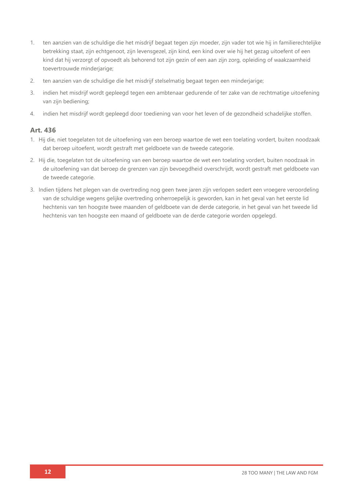- 1. ten aanzien van de schuldige die het misdrijf begaat tegen zijn moeder, zijn vader tot wie hij in familierechtelijke betrekking staat, zijn echtgenoot, zijn levensgezel, zijn kind, een kind over wie hij het gezag uitoefent of een kind dat hij verzorgt of opvoedt als behorend tot zijn gezin of een aan zijn zorg, opleiding of waakzaamheid toevertrouwde minderjarige;
- 2. ten aanzien van de schuldige die het misdrijf stelselmatig begaat tegen een minderjarige;
- 3. indien het misdrijf wordt gepleegd tegen een ambtenaar gedurende of ter zake van de rechtmatige uitoefening van zijn bediening;
- 4. indien het misdrijf wordt gepleegd door toediening van voor het leven of de gezondheid schadelijke stoffen.

### **Art. 436**

- 1. Hij die, niet toegelaten tot de uitoefening van een beroep waartoe de wet een toelating vordert, buiten noodzaak dat beroep uitoefent, wordt gestraft met geldboete van de tweede categorie.
- 2. Hij die, toegelaten tot de uitoefening van een beroep waartoe de wet een toelating vordert, buiten noodzaak in de uitoefening van dat beroep de grenzen van zijn bevoegdheid overschrijdt, wordt gestraft met geldboete van de tweede categorie.
- 3. Indien tijdens het plegen van de overtreding nog geen twee jaren zijn verlopen sedert een vroegere veroordeling van de schuldige wegens gelijke overtreding onherroepelijk is geworden, kan in het geval van het eerste lid hechtenis van ten hoogste twee maanden of geldboete van de derde categorie, in het geval van het tweede lid hechtenis van ten hoogste een maand of geldboete van de derde categorie worden opgelegd.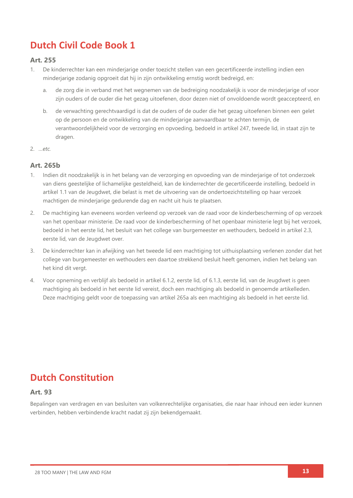## **Dutch Civil Code Book 1**

### **Art. 255**

- 1. De kinderrechter kan een minderjarige onder toezicht stellen van een gecertificeerde instelling indien een minderjarige zodanig opgroeit dat hij in zijn ontwikkeling ernstig wordt bedreigd, en:
	- a. de zorg die in verband met het wegnemen van de bedreiging noodzakelijk is voor de minderjarige of voor zijn ouders of de ouder die het gezag uitoefenen, door dezen niet of onvoldoende wordt geaccepteerd, en
	- b. de verwachting gerechtvaardigd is dat de ouders of de ouder die het gezag uitoefenen binnen een gelet op de persoon en de ontwikkeling van de minderjarige aanvaardbaar te achten termijn, de verantwoordelijkheid voor de verzorging en opvoeding, bedoeld in artikel 247, tweede lid, in staat zijn te dragen.
- 2. *…etc.*

### **Art. 265b**

- 1. Indien dit noodzakelijk is in het belang van de verzorging en opvoeding van de minderjarige of tot onderzoek van diens geestelijke of lichamelijke gesteldheid, kan de kinderrechter de gecertificeerde instelling, bedoeld in artikel 1.1 van de Jeugdwet, die belast is met de uitvoering van de ondertoezichtstelling op haar verzoek machtigen de minderjarige gedurende dag en nacht uit huis te plaatsen.
- 2. De machtiging kan eveneens worden verleend op verzoek van de raad voor de kinderbescherming of op verzoek van het openbaar ministerie. De raad voor de kinderbescherming of het openbaar ministerie legt bij het verzoek, bedoeld in het eerste lid, het besluit van het college van burgemeester en wethouders, bedoeld in artikel 2.3, eerste lid, van de Jeugdwet over.
- 3. De kinderrechter kan in afwijking van het tweede lid een machtiging tot uithuisplaatsing verlenen zonder dat het college van burgemeester en wethouders een daartoe strekkend besluit heeft genomen, indien het belang van het kind dit vergt.
- 4. Voor opneming en verblijf als bedoeld in artikel 6.1.2, eerste lid, of 6.1.3, eerste lid, van de Jeugdwet is geen machtiging als bedoeld in het eerste lid vereist, doch een machtiging als bedoeld in genoemde artikelleden. Deze machtiging geldt voor de toepassing van artikel 265a als een machtiging als bedoeld in het eerste lid.

### **Dutch Constitution**

### **Art. 93**

Bepalingen van verdragen en van besluiten van volkenrechtelijke organisaties, die naar haar inhoud een ieder kunnen verbinden, hebben verbindende kracht nadat zij zijn bekendgemaakt.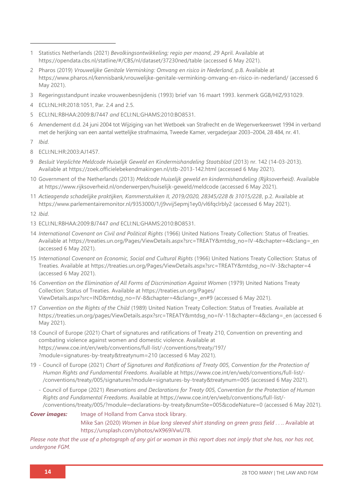- 1 Statistics Netherlands (2021) *Bevolkingsontwikkeling; regio per maand, 29* April. Available at <https://opendata.cbs.nl/statline/#/CBS/nl/dataset/37230ned/table> (accessed 6 May 2021).
- 2 Pharos (2019) *Vrouwelijke Genitale Verminking: Omvang en risico in Nederland*, p.8. Available at <https://www.pharos.nl/kennisbank/vrouwelijke-genitale-verminking-omvang-en-risico-in-nederland/> (accessed 6 May 2021).
- 3 Regeringsstandpunt inzake vrouwenbesnijdenis (1993) brief van 16 maart 1993. kenmerk GGB/HIZ/931029.
- 4 ECLI:NL:HR:2018:1051, Par. 2.4 and 2.5.
- 5 ECLI:NL:RBHAA:2009:BJ7447 *and* ECLI:NL:GHAMS:2010:BO8531.
- 6 Amendement d.d. 24 juni 2004 tot Wijziging van het Wetboek van Strafrecht en de Wegenverkeerswet 1994 in verband met de herijking van een aantal wettelijke strafmaxima, Tweede Kamer, vergaderjaar 2003–2004, 28 484, nr. 41.
- 7 *Ibid*.
- 8 ECLI:NL:HR:2003:AJ1457.
- 9 *Besluit Verplichte Meldcode Huiselijk Geweld en Kindermishandeling Staatsblad* (2013) nr. 142 (14-03-2013). Available at<https://zoek.officielebekendmakingen.nl/stb-2013-142.html> (accessed 6 May 2021).
- 10 Government of the Netherlands (2013) *Meldcode Huiselijk geweld en kindermishandeling (Rijksoverheid)*. Available at <https://www.rijksoverheid.nl/onderwerpen/huiselijk-geweld/meldcode> (accessed 6 May 2021).
- 11 *Actieagenda schadelijke praktijken, Kammerstukken II, 2019/2020, 28345/228 & 31015/228*, p.2. Available at <https://www.parlementairemonitor.nl/9353000/1/j9vvij5epmj1ey0/vl6fqclrbly2> (accessed 6 May 2021).

12 *Ibid*.

- 13 ECLI:NL:RBHAA:2009:BJ7447 *and* ECLI:NL:GHAMS:2010:BO8531.
- 14 *International Covenant on Civil and Political Rights* (1966) United Nations Treaty Collection: Status of Treaties*.* Available at [https://treaties.un.org/Pages/ViewDetails.aspx?src=TREATY&mtdsg\\_no=IV-4&chapter=4&clang=\\_en](https://treaties.un.org/Pages/ViewDetails.aspx?src=TREATY&mtdsg_no=IV-4&chapter=4&clang=_en) (accessed 6 May 2021).
- 15 *International Covenant on Economic, Social and Cultural Rights* (1966) United Nations Treaty Collection: Status of Treaties. Available at [https://treaties.un.org/Pages/ViewDetails.aspx?src=TREATY&mtdsg\\_no=IV-3&chapter=4](https://treaties.un.org/Pages/ViewDetails.aspx?src=TREATY&mtdsg_no=IV-3&chapter=4) (accessed 6 May 2021).
- 16 Convention on the Elimination of All Forms of Discrimination Against Women (1979) United Nations Treaty Collection: Status of Treaties. Available at [https://treaties.un.org/Pages/](https://treaties.un.org/Pages/%0bViewDetails.aspx?src=IND&mtdsg_no=IV-8&chapter=4&clang=_en#9) [ViewDetails.aspx?src=IND&mtdsg\\_no=IV-8&chapter=4&clang=\\_en#9](https://treaties.un.org/Pages/%0bViewDetails.aspx?src=IND&mtdsg_no=IV-8&chapter=4&clang=_en#9) (accessed 6 May 2021).
- 17 *Convention on the Rights of the Child* (1989) United Nation Treaty Collection: Status of Treaties. Available at [https://treaties.un.org/pages/ViewDetails.aspx?src=TREATY&mtdsg\\_no=IV-11&chapter=4&clang=\\_en](https://treaties.un.org/pages/ViewDetails.aspx?src=TREATY&mtdsg_no=IV-11&chapter=4&clang=_en) (accessed 6 May 2021).
- 18 Council of Europe (2021) Chart of signatures and ratifications of Treaty 210, Convention on preventing and combating violence against women and domestic violence. Available at [https://www.coe.int/en/web/conventions/full-list/-/conventions/treaty/197/](https://www.coe.int/en/web/conventions/full-list/-/conventions/treaty/197/?module=signatures-by-treaty&treatynum=210) [?module=signatures-by-treaty&treatynum=210](https://www.coe.int/en/web/conventions/full-list/-/conventions/treaty/197/?module=signatures-by-treaty&treatynum=210) (accessed 6 May 2021).
- 19 Council of Europe (2021) *Chart of Signatures and Ratifications of Treaty 005, Convention for the Protection of Human Rights and Fundamental Freedoms*. Available at https://ww[w.coe.int/en/web/conventions/full-list/-](file://///Users/emmageraghty/Desktop/coe.int/en/web/conventions/full-list/-/conventions/treaty/005/signatures%253fmodule=signatures-by-treaty&treatynum=005) [/conventions/treaty/005/signatures?module=signatures-by-treaty&treatynum=005](file://///Users/emmageraghty/Desktop/coe.int/en/web/conventions/full-list/-/conventions/treaty/005/signatures%253fmodule=signatures-by-treaty&treatynum=005) (accessed 6 May 2021).
	- Council of Europe (2021) *Reservations and Declarations for Treaty 005, Convention for the Protection of Human Rights and Fundamental Freedoms*. Available at [https://www.coe.int/en/web/conventions/full-list/-](https://www.coe.int/en/web/conventions/full-list/-/conventions/treaty/005/?module=declarations-by-treaty&numSte=005&codeNature=0) [/conventions/treaty/005/?module=declarations-by-treaty&numSte=005&codeNature=0](https://www.coe.int/en/web/conventions/full-list/-/conventions/treaty/005/?module=declarations-by-treaty&numSte=005&codeNature=0) (accessed 6 May 2021).

### **Cover images:** Image of Holland from Canva stock library. Mike San (2020) *Women in blue long sleeved shirt standing on green grass field . . .*. Available at [https://unsplash.com/photos/wX969iVwU78.](https://unsplash.com/photos/wX969iVwU78)

*Please note that the use of a photograph of any girl or woman in this report does not imply that she has, nor has not, undergone FGM.*